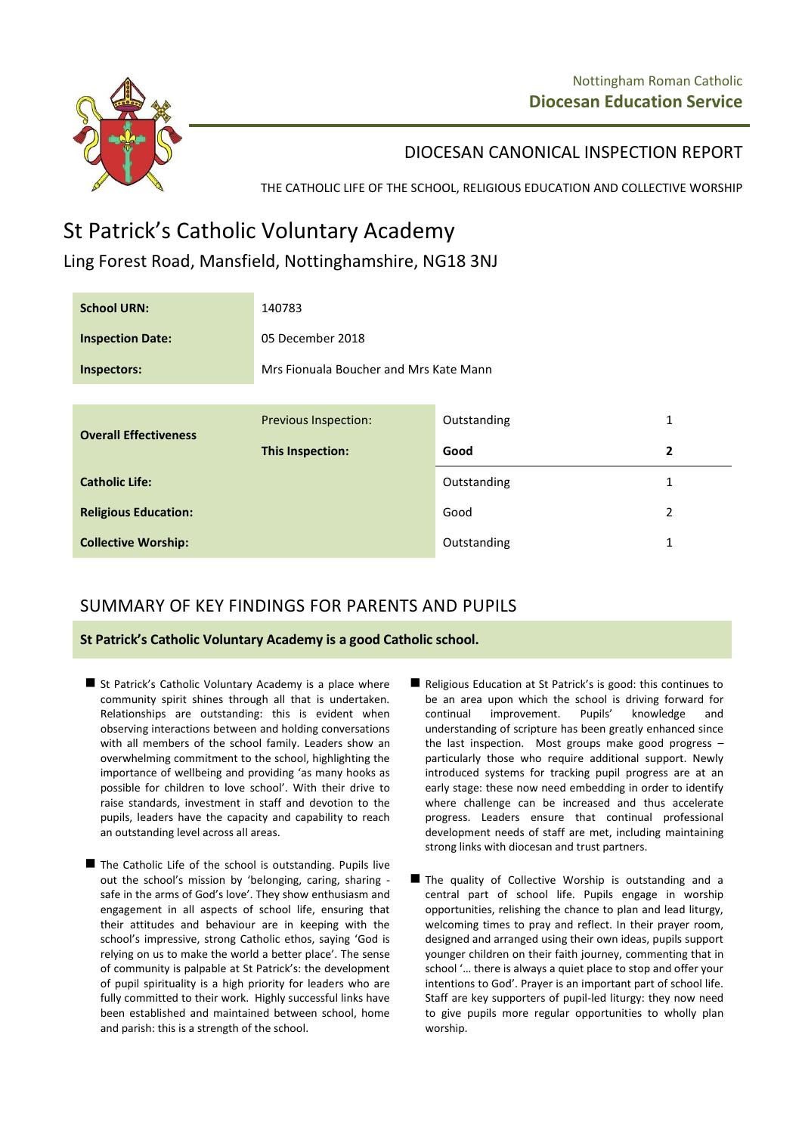

DIOCESAN CANONICAL INSPECTION REPORT

THE CATHOLIC LIFE OF THE SCHOOL, RELIGIOUS EDUCATION AND COLLECTIVE WORSHIP

## St Patrick's Catholic Voluntary Academy

## Ling Forest Road, Mansfield, Nottinghamshire, NG18 3NJ

| <b>School URN:</b>           | 140783                                 |             |                |
|------------------------------|----------------------------------------|-------------|----------------|
| <b>Inspection Date:</b>      | 05 December 2018                       |             |                |
| Inspectors:                  | Mrs Fionuala Boucher and Mrs Kate Mann |             |                |
|                              |                                        |             |                |
| <b>Overall Effectiveness</b> | <b>Previous Inspection:</b>            | Outstanding | 1              |
|                              | This Inspection:                       | Good        | $\overline{2}$ |
| <b>Catholic Life:</b>        |                                        | Outstanding | $\mathbf{1}$   |
| <b>Religious Education:</b>  |                                        | Good        | 2              |
| <b>Collective Worship:</b>   |                                        | Outstanding | $\mathbf{1}$   |

## SUMMARY OF KEY FINDINGS FOR PARENTS AND PUPILS

**St Patrick's Catholic Voluntary Academy is a good Catholic school.**

- St Patrick's Catholic Voluntary Academy is a place where community spirit shines through all that is undertaken. Relationships are outstanding: this is evident when observing interactions between and holding conversations with all members of the school family. Leaders show an overwhelming commitment to the school, highlighting the importance of wellbeing and providing 'as many hooks as possible for children to love school'. With their drive to raise standards, investment in staff and devotion to the pupils, leaders have the capacity and capability to reach an outstanding level across all areas.
- The Catholic Life of the school is outstanding. Pupils live out the school's mission by 'belonging, caring, sharing safe in the arms of God's love'. They show enthusiasm and engagement in all aspects of school life, ensuring that their attitudes and behaviour are in keeping with the school's impressive, strong Catholic ethos, saying 'God is relying on us to make the world a better place'. The sense of community is palpable at St Patrick's: the development of pupil spirituality is a high priority for leaders who are fully committed to their work. Highly successful links have been established and maintained between school, home and parish: this is a strength of the school.
- Religious Education at St Patrick's is good: this continues to be an area upon which the school is driving forward for continual improvement. Pupils' knowledge and understanding of scripture has been greatly enhanced since the last inspection. Most groups make good progress – particularly those who require additional support. Newly introduced systems for tracking pupil progress are at an early stage: these now need embedding in order to identify where challenge can be increased and thus accelerate progress. Leaders ensure that continual professional development needs of staff are met, including maintaining strong links with diocesan and trust partners.
- The quality of Collective Worship is outstanding and a central part of school life. Pupils engage in worship opportunities, relishing the chance to plan and lead liturgy, welcoming times to pray and reflect. In their prayer room, designed and arranged using their own ideas, pupils support younger children on their faith journey, commenting that in school '… there is always a quiet place to stop and offer your intentions to God'. Prayer is an important part of school life. Staff are key supporters of pupil-led liturgy: they now need to give pupils more regular opportunities to wholly plan worship.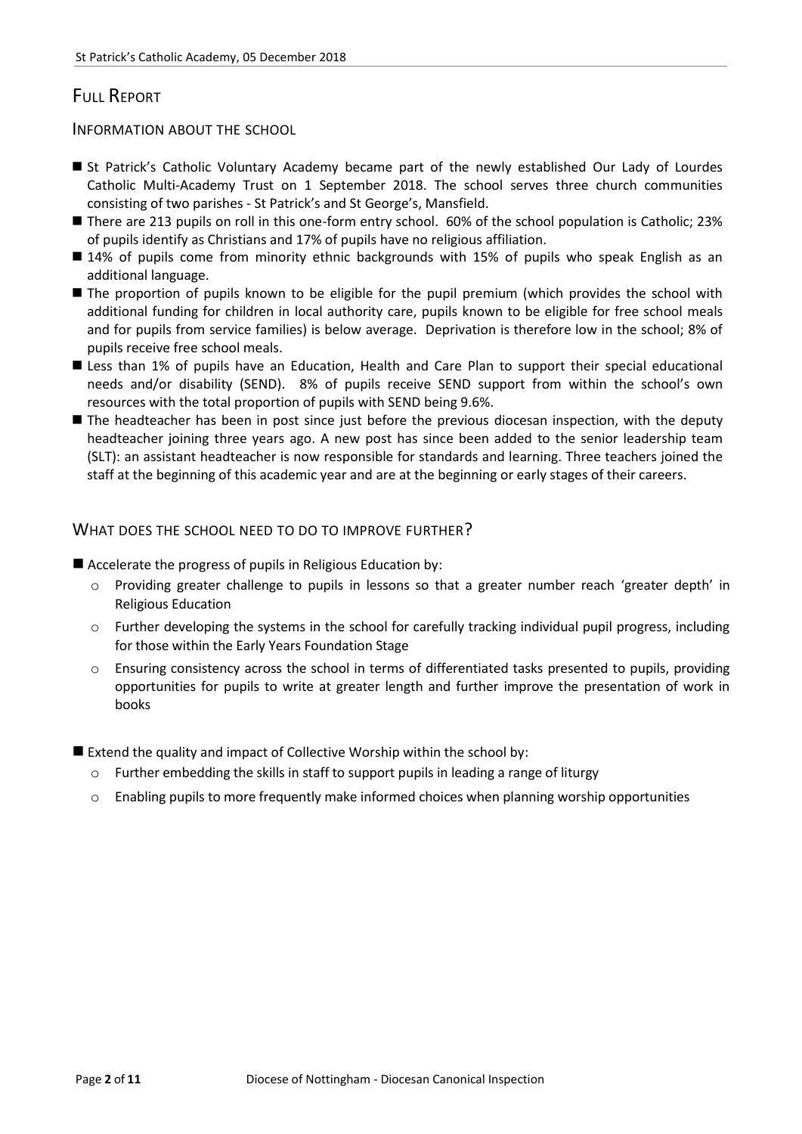## FULL REPORT

INFORMATION ABOUT THE SCHOOL

- St Patrick's Catholic Voluntary Academy became part of the newly established Our Lady of Lourdes Catholic Multi-Academy Trust on 1 September 2018. The school serves three church communities consisting of two parishes - St Patrick's and St George's, Mansfield.
- There are 213 pupils on roll in this one-form entry school. 60% of the school population is Catholic; 23% of pupils identify as Christians and 17% of pupils have no religious affiliation.
- 14% of pupils come from minority ethnic backgrounds with 15% of pupils who speak English as an additional language.
- The proportion of pupils known to be eligible for the pupil premium (which provides the school with additional funding for children in local authority care, pupils known to be eligible for free school meals and for pupils from service families) is below average. Deprivation is therefore low in the school; 8% of pupils receive free school meals.
- **E** Less than 1% of pupils have an Education, Health and Care Plan to support their special educational needs and/or disability (SEND). 8% of pupils receive SEND support from within the school's own resources with the total proportion of pupils with SEND being 9.6%.
- **The headteacher has been in post since just before the previous diocesan inspection, with the deputy** headteacher joining three years ago. A new post has since been added to the senior leadership team (SLT): an assistant headteacher is now responsible for standards and learning. Three teachers joined the staff at the beginning of this academic year and are at the beginning or early stages of their careers.

WHAT DOES THE SCHOOL NEED TO DO TO IMPROVE FURTHER?

■ Accelerate the progress of pupils in Religious Education by:

- o Providing greater challenge to pupils in lessons so that a greater number reach 'greater depth' in Religious Education
- $\circ$  Further developing the systems in the school for carefully tracking individual pupil progress, including for those within the Early Years Foundation Stage
- o Ensuring consistency across the school in terms of differentiated tasks presented to pupils, providing opportunities for pupils to write at greater length and further improve the presentation of work in books
- Extend the quality and impact of Collective Worship within the school by:
	- $\circ$  Further embedding the skills in staff to support pupils in leading a range of liturgy
	- Enabling pupils to more frequently make informed choices when planning worship opportunities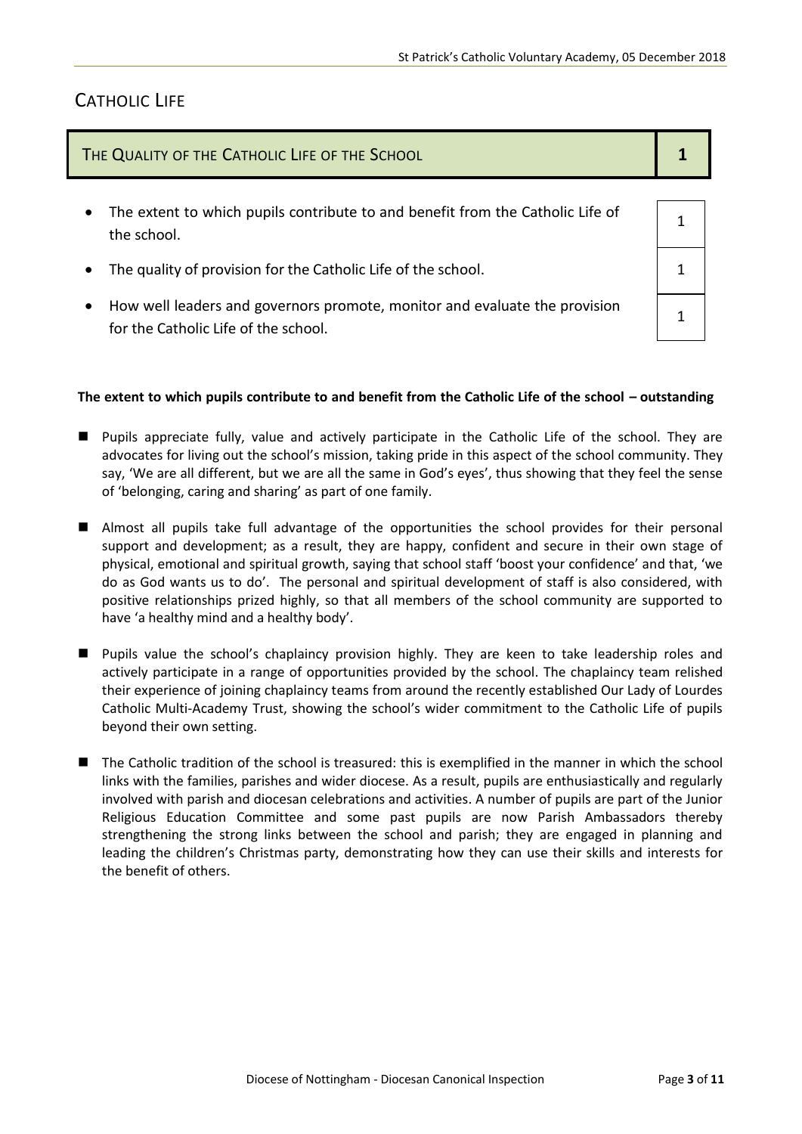1

1

## CATHOLIC LIFE

| THE QUALITY OF THE CATHOLIC LIFE OF THE SCHOOL |  |  |
|------------------------------------------------|--|--|
|                                                |  |  |

- The extent to which pupils contribute to and benefit from the Catholic Life of the school.
- The quality of provision for the Catholic Life of the school.  $\vert$  1
- How well leaders and governors promote, monitor and evaluate the provision for the Catholic Life of the school.

#### The extent to which pupils contribute to and benefit from the Catholic Life of the school – outstanding

- Pupils appreciate fully, value and actively participate in the Catholic Life of the school. They are advocates for living out the school's mission, taking pride in this aspect of the school community. They say, 'We are all different, but we are all the same in God's eyes', thus showing that they feel the sense of 'belonging, caring and sharing' as part of one family.
- Almost all pupils take full advantage of the opportunities the school provides for their personal support and development; as a result, they are happy, confident and secure in their own stage of physical, emotional and spiritual growth, saying that school staff 'boost your confidence' and that, 'we do as God wants us to do'. The personal and spiritual development of staff is also considered, with positive relationships prized highly, so that all members of the school community are supported to have 'a healthy mind and a healthy body'.
- **Pupils value the school's chaplaincy provision highly. They are keen to take leadership roles and** actively participate in a range of opportunities provided by the school. The chaplaincy team relished their experience of joining chaplaincy teams from around the recently established Our Lady of Lourdes Catholic Multi-Academy Trust, showing the school's wider commitment to the Catholic Life of pupils beyond their own setting.
- The Catholic tradition of the school is treasured: this is exemplified in the manner in which the school links with the families, parishes and wider diocese. As a result, pupils are enthusiastically and regularly involved with parish and diocesan celebrations and activities. A number of pupils are part of the Junior Religious Education Committee and some past pupils are now Parish Ambassadors thereby strengthening the strong links between the school and parish; they are engaged in planning and leading the children's Christmas party, demonstrating how they can use their skills and interests for the benefit of others.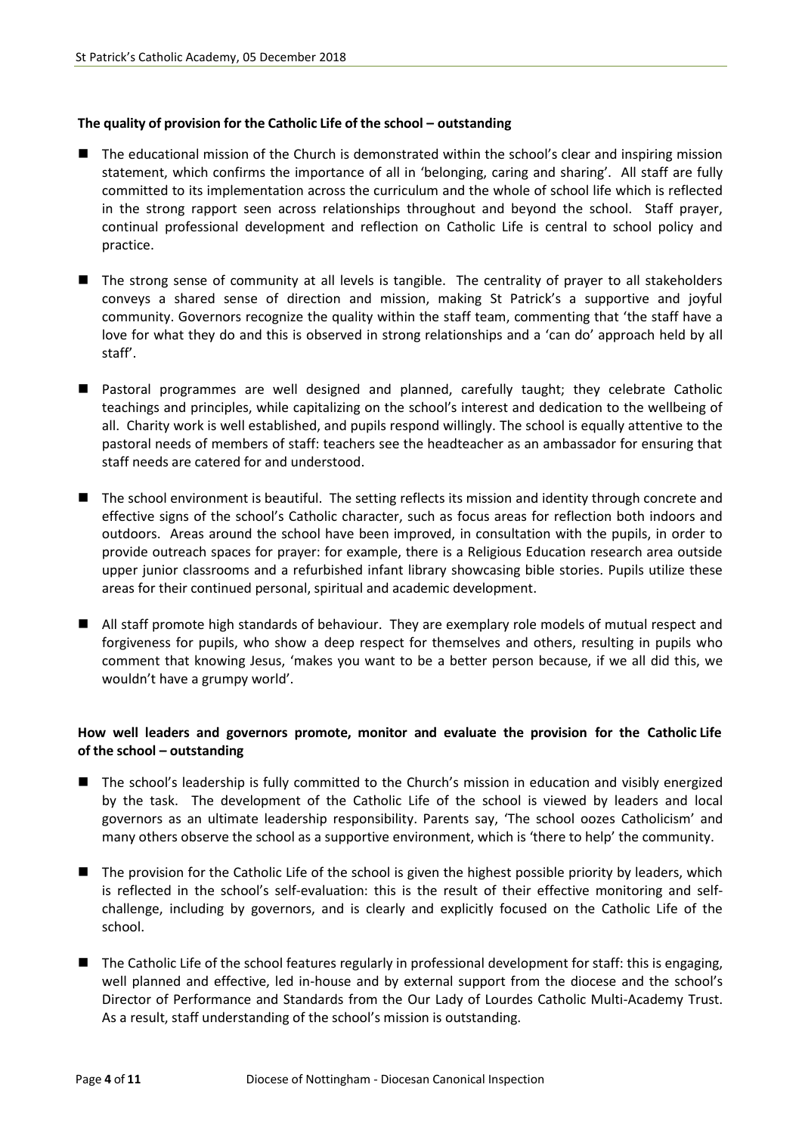#### **The quality of provision for the Catholic Life of the school – outstanding**

- The educational mission of the Church is demonstrated within the school's clear and inspiring mission statement, which confirms the importance of all in 'belonging, caring and sharing'. All staff are fully committed to its implementation across the curriculum and the whole of school life which is reflected in the strong rapport seen across relationships throughout and beyond the school. Staff prayer, continual professional development and reflection on Catholic Life is central to school policy and practice.
- The strong sense of community at all levels is tangible. The centrality of prayer to all stakeholders conveys a shared sense of direction and mission, making St Patrick's a supportive and joyful community. Governors recognize the quality within the staff team, commenting that 'the staff have a love for what they do and this is observed in strong relationships and a 'can do' approach held by all staff'.
- Pastoral programmes are well designed and planned, carefully taught; they celebrate Catholic teachings and principles, while capitalizing on the school's interest and dedication to the wellbeing of all. Charity work is well established, and pupils respond willingly. The school is equally attentive to the pastoral needs of members of staff: teachers see the headteacher as an ambassador for ensuring that staff needs are catered for and understood.
- The school environment is beautiful. The setting reflects its mission and identity through concrete and effective signs of the school's Catholic character, such as focus areas for reflection both indoors and outdoors. Areas around the school have been improved, in consultation with the pupils, in order to provide outreach spaces for prayer: for example, there is a Religious Education research area outside upper junior classrooms and a refurbished infant library showcasing bible stories. Pupils utilize these areas for their continued personal, spiritual and academic development.
- All staff promote high standards of behaviour. They are exemplary role models of mutual respect and forgiveness for pupils, who show a deep respect for themselves and others, resulting in pupils who comment that knowing Jesus, 'makes you want to be a better person because, if we all did this, we wouldn't have a grumpy world'.

#### **How well leaders and governors promote, monitor and evaluate the provision for the Catholic Life of the school – outstanding**

- The school's leadership is fully committed to the Church's mission in education and visibly energized by the task. The development of the Catholic Life of the school is viewed by leaders and local governors as an ultimate leadership responsibility. Parents say, 'The school oozes Catholicism' and many others observe the school as a supportive environment, which is 'there to help' the community.
- The provision for the Catholic Life of the school is given the highest possible priority by leaders, which is reflected in the school's self-evaluation: this is the result of their effective monitoring and selfchallenge, including by governors, and is clearly and explicitly focused on the Catholic Life of the school.
- The Catholic Life of the school features regularly in professional development for staff: this is engaging, well planned and effective, led in-house and by external support from the diocese and the school's Director of Performance and Standards from the Our Lady of Lourdes Catholic Multi-Academy Trust. As a result, staff understanding of the school's mission is outstanding.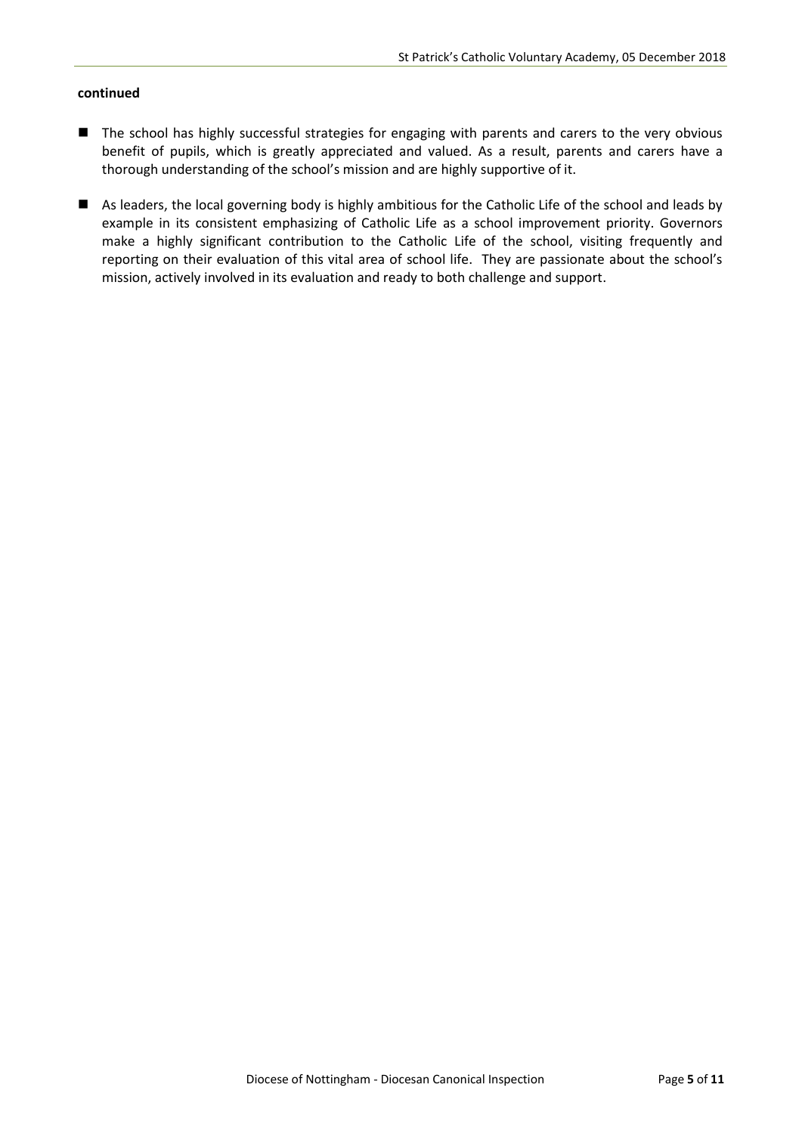#### **continued**

- The school has highly successful strategies for engaging with parents and carers to the very obvious benefit of pupils, which is greatly appreciated and valued. As a result, parents and carers have a thorough understanding of the school's mission and are highly supportive of it.
- As leaders, the local governing body is highly ambitious for the Catholic Life of the school and leads by example in its consistent emphasizing of Catholic Life as a school improvement priority. Governors make a highly significant contribution to the Catholic Life of the school, visiting frequently and reporting on their evaluation of this vital area of school life. They are passionate about the school's mission, actively involved in its evaluation and ready to both challenge and support.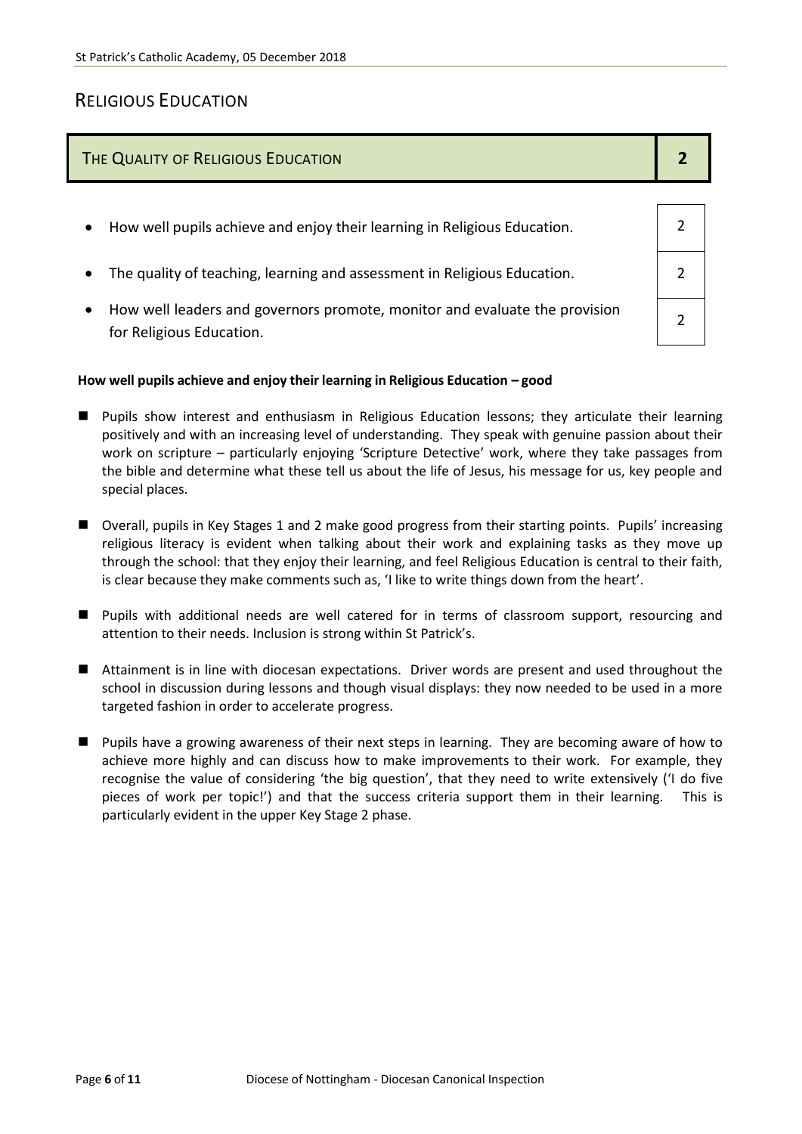## RELIGIOUS EDUCATION

## THE QUALITY OF RELIGIOUS EDUCATION **2**

- How well pupils achieve and enjoy their learning in Religious Education.  $\vert$  2
- The quality of teaching, learning and assessment in Religious Education.  $\vert$  2
- How well leaders and governors promote, monitor and evaluate the provision for Religious Education.

#### **How well pupils achieve and enjoy their learning in Religious Education – good**

- Pupils show interest and enthusiasm in Religious Education lessons; they articulate their learning positively and with an increasing level of understanding. They speak with genuine passion about their work on scripture – particularly enjoying 'Scripture Detective' work, where they take passages from the bible and determine what these tell us about the life of Jesus, his message for us, key people and special places.
- Overall, pupils in Key Stages 1 and 2 make good progress from their starting points. Pupils' increasing religious literacy is evident when talking about their work and explaining tasks as they move up through the school: that they enjoy their learning, and feel Religious Education is central to their faith, is clear because they make comments such as, 'I like to write things down from the heart'.
- Pupils with additional needs are well catered for in terms of classroom support, resourcing and attention to their needs. Inclusion is strong within St Patrick's.
- Attainment is in line with diocesan expectations. Driver words are present and used throughout the school in discussion during lessons and though visual displays: they now needed to be used in a more targeted fashion in order to accelerate progress.
- **Pupils have a growing awareness of their next steps in learning. They are becoming aware of how to** achieve more highly and can discuss how to make improvements to their work. For example, they recognise the value of considering 'the big question', that they need to write extensively ('I do five pieces of work per topic!') and that the success criteria support them in their learning. This is particularly evident in the upper Key Stage 2 phase.

| Page 6 of 11 |  |  |  |
|--------------|--|--|--|
|--------------|--|--|--|

2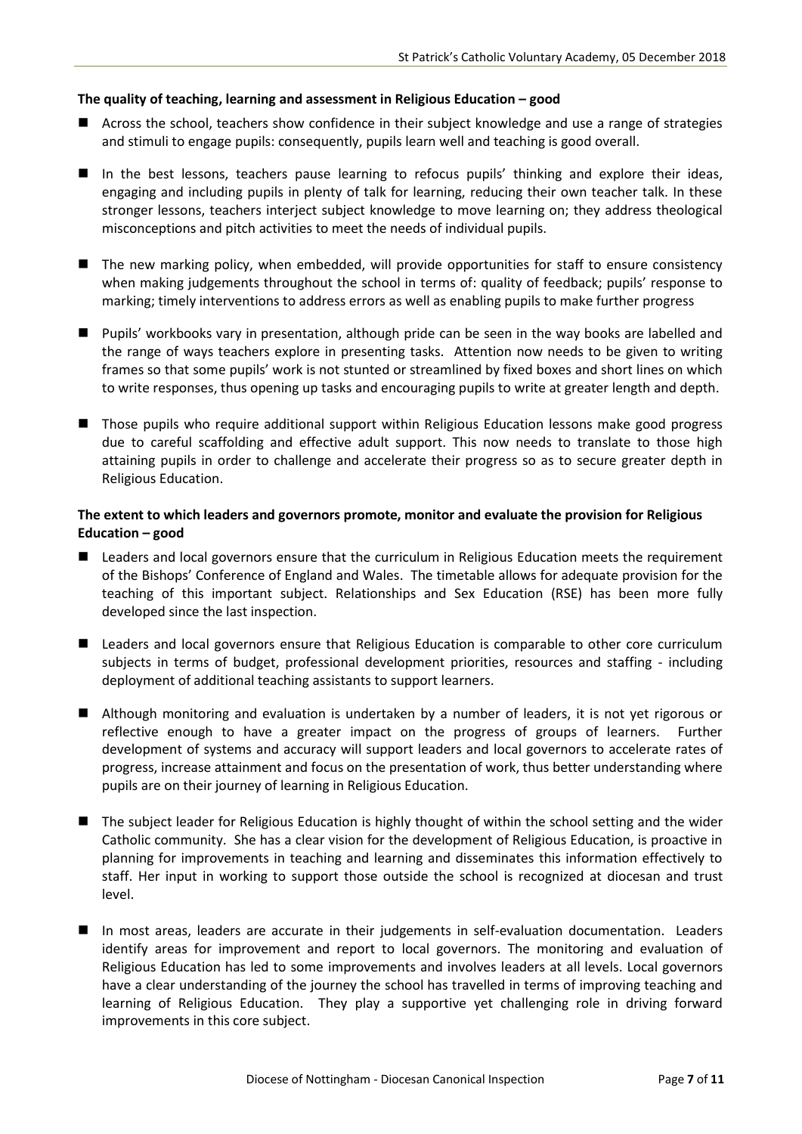#### **The quality of teaching, learning and assessment in Religious Education – good**

- **E** Across the school, teachers show confidence in their subject knowledge and use a range of strategies and stimuli to engage pupils: consequently, pupils learn well and teaching is good overall.
- In the best lessons, teachers pause learning to refocus pupils' thinking and explore their ideas, engaging and including pupils in plenty of talk for learning, reducing their own teacher talk. In these stronger lessons, teachers interject subject knowledge to move learning on; they address theological misconceptions and pitch activities to meet the needs of individual pupils.
- The new marking policy, when embedded, will provide opportunities for staff to ensure consistency when making judgements throughout the school in terms of: quality of feedback; pupils' response to marking; timely interventions to address errors as well as enabling pupils to make further progress
- Pupils' workbooks vary in presentation, although pride can be seen in the way books are labelled and the range of ways teachers explore in presenting tasks. Attention now needs to be given to writing frames so that some pupils' work is not stunted or streamlined by fixed boxes and short lines on which to write responses, thus opening up tasks and encouraging pupils to write at greater length and depth.
- Those pupils who require additional support within Religious Education lessons make good progress due to careful scaffolding and effective adult support. This now needs to translate to those high attaining pupils in order to challenge and accelerate their progress so as to secure greater depth in Religious Education.

#### **The extent to which leaders and governors promote, monitor and evaluate the provision for Religious Education – good**

- Leaders and local governors ensure that the curriculum in Religious Education meets the requirement of the Bishops' Conference of England and Wales. The timetable allows for adequate provision for the teaching of this important subject. Relationships and Sex Education (RSE) has been more fully developed since the last inspection.
- Leaders and local governors ensure that Religious Education is comparable to other core curriculum subjects in terms of budget, professional development priorities, resources and staffing - including deployment of additional teaching assistants to support learners.
- **Although monitoring and evaluation is undertaken by a number of leaders, it is not yet rigorous or** reflective enough to have a greater impact on the progress of groups of learners. Further development of systems and accuracy will support leaders and local governors to accelerate rates of progress, increase attainment and focus on the presentation of work, thus better understanding where pupils are on their journey of learning in Religious Education.
- The subject leader for Religious Education is highly thought of within the school setting and the wider Catholic community. She has a clear vision for the development of Religious Education, is proactive in planning for improvements in teaching and learning and disseminates this information effectively to staff. Her input in working to support those outside the school is recognized at diocesan and trust level.
- In most areas, leaders are accurate in their judgements in self-evaluation documentation. Leaders identify areas for improvement and report to local governors. The monitoring and evaluation of Religious Education has led to some improvements and involves leaders at all levels. Local governors have a clear understanding of the journey the school has travelled in terms of improving teaching and learning of Religious Education. They play a supportive yet challenging role in driving forward improvements in this core subject.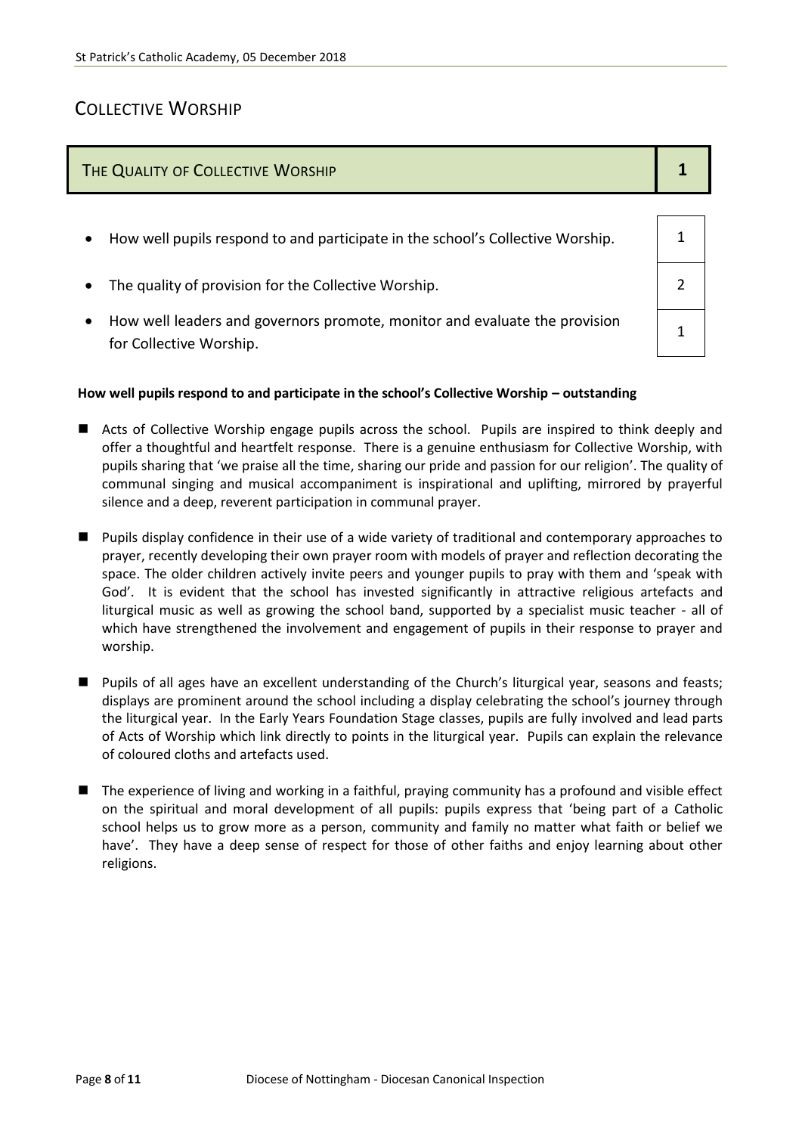## COLLECTIVE WORSHIP

# THE QUALITY OF COLLECTIVE WORSHIP **1 1 1 1 1** How well pupils respond to and participate in the school's Collective Worship.  $\vert$  1 • The quality of provision for the Collective Worship.  $\vert$  2 How well leaders and governors promote, monitor and evaluate the provision for Collective Worship. 1

#### **How well pupils respond to and participate in the school's Collective Worship – outstanding**

- Acts of Collective Worship engage pupils across the school. Pupils are inspired to think deeply and offer a thoughtful and heartfelt response. There is a genuine enthusiasm for Collective Worship, with pupils sharing that 'we praise all the time, sharing our pride and passion for our religion'. The quality of communal singing and musical accompaniment is inspirational and uplifting, mirrored by prayerful silence and a deep, reverent participation in communal prayer.
- **Pupils display confidence in their use of a wide variety of traditional and contemporary approaches to** prayer, recently developing their own prayer room with models of prayer and reflection decorating the space. The older children actively invite peers and younger pupils to pray with them and 'speak with God'. It is evident that the school has invested significantly in attractive religious artefacts and liturgical music as well as growing the school band, supported by a specialist music teacher - all of which have strengthened the involvement and engagement of pupils in their response to prayer and worship.
- **Pupils of all ages have an excellent understanding of the Church's liturgical year, seasons and feasts;** displays are prominent around the school including a display celebrating the school's journey through the liturgical year. In the Early Years Foundation Stage classes, pupils are fully involved and lead parts of Acts of Worship which link directly to points in the liturgical year. Pupils can explain the relevance of coloured cloths and artefacts used.
- The experience of living and working in a faithful, praying community has a profound and visible effect on the spiritual and moral development of all pupils: pupils express that 'being part of a Catholic school helps us to grow more as a person, community and family no matter what faith or belief we have'. They have a deep sense of respect for those of other faiths and enjoy learning about other religions.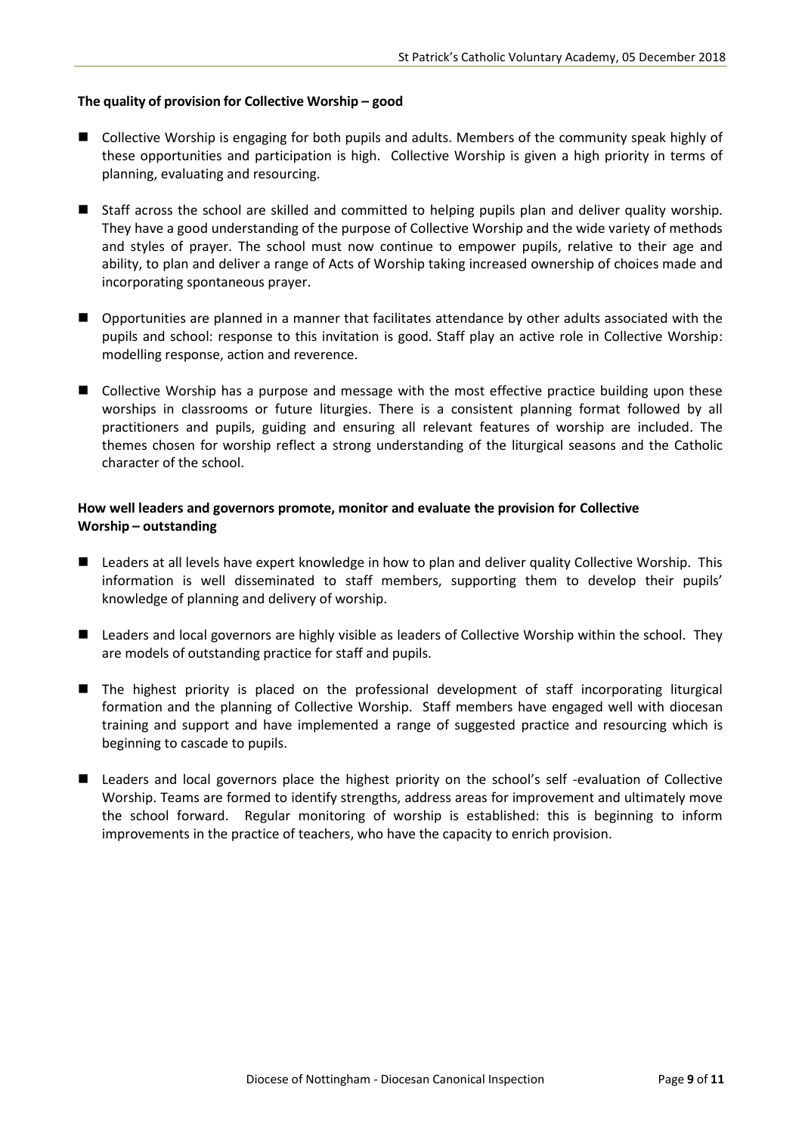#### **The quality of provision for Collective Worship – good**

- Collective Worship is engaging for both pupils and adults. Members of the community speak highly of these opportunities and participation is high. Collective Worship is given a high priority in terms of planning, evaluating and resourcing.
- Staff across the school are skilled and committed to helping pupils plan and deliver quality worship. They have a good understanding of the purpose of Collective Worship and the wide variety of methods and styles of prayer. The school must now continue to empower pupils, relative to their age and ability, to plan and deliver a range of Acts of Worship taking increased ownership of choices made and incorporating spontaneous prayer.
- Opportunities are planned in a manner that facilitates attendance by other adults associated with the pupils and school: response to this invitation is good. Staff play an active role in Collective Worship: modelling response, action and reverence.
- Collective Worship has a purpose and message with the most effective practice building upon these worships in classrooms or future liturgies. There is a consistent planning format followed by all practitioners and pupils, guiding and ensuring all relevant features of worship are included. The themes chosen for worship reflect a strong understanding of the liturgical seasons and the Catholic character of the school.

#### **How well leaders and governors promote, monitor and evaluate the provision for Collective Worship – outstanding**

- Leaders at all levels have expert knowledge in how to plan and deliver quality Collective Worship. This information is well disseminated to staff members, supporting them to develop their pupils' knowledge of planning and delivery of worship.
- Leaders and local governors are highly visible as leaders of Collective Worship within the school. They are models of outstanding practice for staff and pupils.
- The highest priority is placed on the professional development of staff incorporating liturgical formation and the planning of Collective Worship. Staff members have engaged well with diocesan training and support and have implemented a range of suggested practice and resourcing which is beginning to cascade to pupils.
- Leaders and local governors place the highest priority on the school's self -evaluation of Collective Worship. Teams are formed to identify strengths, address areas for improvement and ultimately move the school forward. Regular monitoring of worship is established: this is beginning to inform improvements in the practice of teachers, who have the capacity to enrich provision.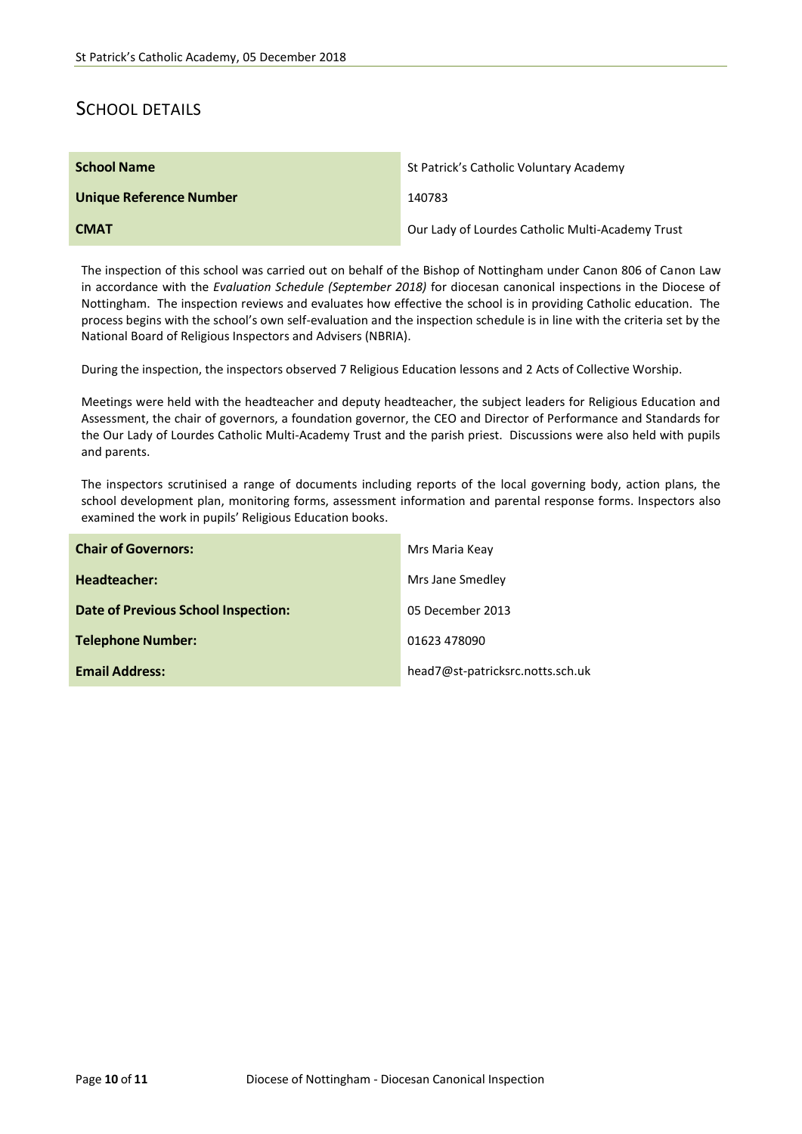## SCHOOL DETAILS

| <b>School Name</b>             | St Patrick's Catholic Voluntary Academy          |
|--------------------------------|--------------------------------------------------|
| <b>Unique Reference Number</b> | 140783                                           |
| <b>CMAT</b>                    | Our Lady of Lourdes Catholic Multi-Academy Trust |

The inspection of this school was carried out on behalf of the Bishop of Nottingham under Canon 806 of Canon Law in accordance with the *Evaluation Schedule (September 2018)* for diocesan canonical inspections in the Diocese of Nottingham. The inspection reviews and evaluates how effective the school is in providing Catholic education. The process begins with the school's own self-evaluation and the inspection schedule is in line with the criteria set by the National Board of Religious Inspectors and Advisers (NBRIA).

During the inspection, the inspectors observed 7 Religious Education lessons and 2 Acts of Collective Worship.

Meetings were held with the headteacher and deputy headteacher, the subject leaders for Religious Education and Assessment, the chair of governors, a foundation governor, the CEO and Director of Performance and Standards for the Our Lady of Lourdes Catholic Multi-Academy Trust and the parish priest. Discussions were also held with pupils and parents.

The inspectors scrutinised a range of documents including reports of the local governing body, action plans, the school development plan, monitoring forms, assessment information and parental response forms. Inspectors also examined the work in pupils' Religious Education books.

| <b>Chair of Governors:</b>          | Mrs Maria Keay                   |
|-------------------------------------|----------------------------------|
| Headteacher:                        | Mrs Jane Smedley                 |
| Date of Previous School Inspection: | 05 December 2013                 |
| <b>Telephone Number:</b>            | 01623 478090                     |
| <b>Email Address:</b>               | head7@st-patricksrc.notts.sch.uk |